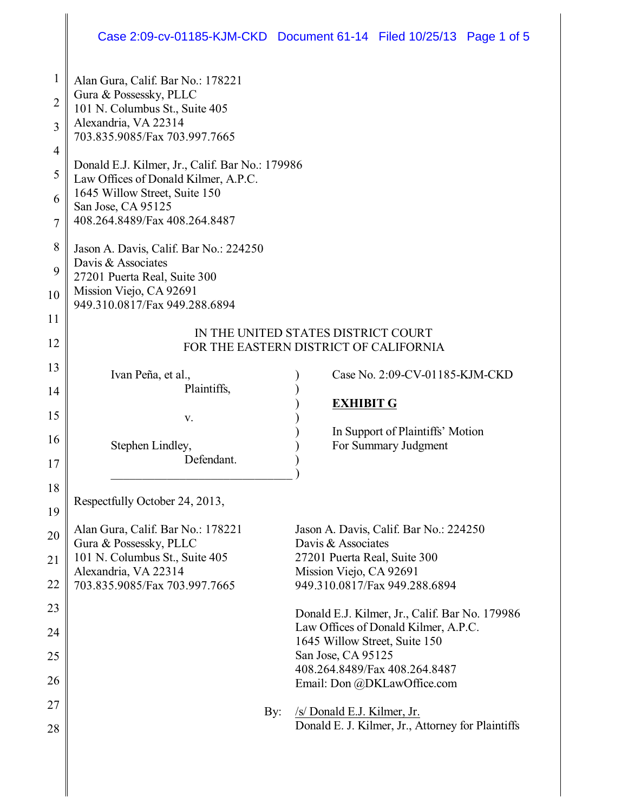## Case 2:09-cv-01185-KJM-CKD Document 61-14 Filed 10/25/13 Page 1 of 5

| 1              | Alan Gura, Calif. Bar No.: 178221                                                       |                                                                                        |  |  |  |  |
|----------------|-----------------------------------------------------------------------------------------|----------------------------------------------------------------------------------------|--|--|--|--|
| $\overline{2}$ | Gura & Possessky, PLLC                                                                  |                                                                                        |  |  |  |  |
|                | 101 N. Columbus St., Suite 405<br>Alexandria, VA 22314                                  |                                                                                        |  |  |  |  |
| 3              | 703.835.9085/Fax 703.997.7665                                                           |                                                                                        |  |  |  |  |
| 4              |                                                                                         |                                                                                        |  |  |  |  |
| 5              | Donald E.J. Kilmer, Jr., Calif. Bar No.: 179986<br>Law Offices of Donald Kilmer, A.P.C. |                                                                                        |  |  |  |  |
| 6              | 1645 Willow Street, Suite 150                                                           |                                                                                        |  |  |  |  |
| 7              | San Jose, CA 95125<br>408.264.8489/Fax 408.264.8487                                     |                                                                                        |  |  |  |  |
|                |                                                                                         |                                                                                        |  |  |  |  |
| 8              | Jason A. Davis, Calif. Bar No.: 224250<br>Davis & Associates                            |                                                                                        |  |  |  |  |
| 9              | 27201 Puerta Real, Suite 300                                                            |                                                                                        |  |  |  |  |
| 10             | Mission Viejo, CA 92691<br>949.310.0817/Fax 949.288.6894                                |                                                                                        |  |  |  |  |
| 11             |                                                                                         |                                                                                        |  |  |  |  |
| 12             | IN THE UNITED STATES DISTRICT COURT<br>FOR THE EASTERN DISTRICT OF CALIFORNIA           |                                                                                        |  |  |  |  |
|                |                                                                                         |                                                                                        |  |  |  |  |
| 13             | Ivan Peña, et al.,                                                                      | Case No. 2:09-CV-01185-KJM-CKD                                                         |  |  |  |  |
| 14             | Plaintiffs,                                                                             | <b>EXHIBIT G</b>                                                                       |  |  |  |  |
| 15             | V.                                                                                      |                                                                                        |  |  |  |  |
| 16             | Stephen Lindley,                                                                        | In Support of Plaintiffs' Motion<br>For Summary Judgment                               |  |  |  |  |
| 17             | Defendant.                                                                              |                                                                                        |  |  |  |  |
| 18             |                                                                                         |                                                                                        |  |  |  |  |
|                | Respectfully October 24, 2013,                                                          |                                                                                        |  |  |  |  |
| 19             | Alan Gura, Calif. Bar No.: 178221                                                       | Jason A. Davis, Calif. Bar No.: 224250                                                 |  |  |  |  |
| 20             | Gura & Possessky, PLLC                                                                  | Davis & Associates                                                                     |  |  |  |  |
| 21             | 101 N. Columbus St., Suite 405                                                          | 27201 Puerta Real, Suite 300                                                           |  |  |  |  |
| 22             | Alexandria, VA 22314<br>703.835.9085/Fax 703.997.7665                                   | Mission Viejo, CA 92691<br>949.310.0817/Fax 949.288.6894                               |  |  |  |  |
| 23             |                                                                                         |                                                                                        |  |  |  |  |
|                |                                                                                         | Donald E.J. Kilmer, Jr., Calif. Bar No. 179986<br>Law Offices of Donald Kilmer, A.P.C. |  |  |  |  |
| 24             |                                                                                         | 1645 Willow Street, Suite 150                                                          |  |  |  |  |
| 25             |                                                                                         | San Jose, CA 95125<br>408.264.8489/Fax 408.264.8487                                    |  |  |  |  |
| 26             |                                                                                         | Email: Don @DKLawOffice.com                                                            |  |  |  |  |
| 27             | By:                                                                                     | /s/ Donald E.J. Kilmer, Jr.                                                            |  |  |  |  |
| 28             |                                                                                         | Donald E. J. Kilmer, Jr., Attorney for Plaintiffs                                      |  |  |  |  |
|                |                                                                                         |                                                                                        |  |  |  |  |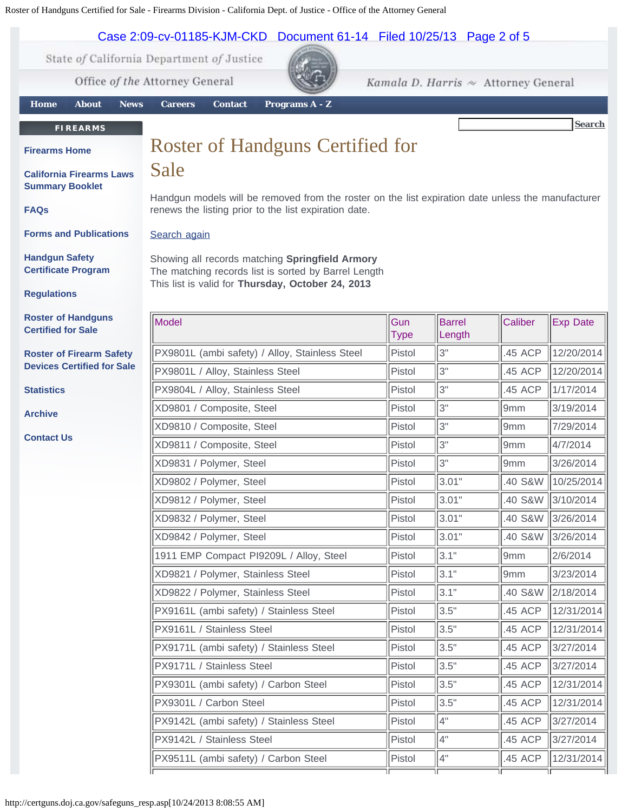## Roster of Handguns Certified for Sale - Firearms Division - California Dept. of Justice - Office of the Attorney General



PX9511L (ambi safety) / Carbon Steel  $\parallel$  Pistol  $\parallel$  4"  $\parallel$  .45 ACP  $\parallel$  12/31/2014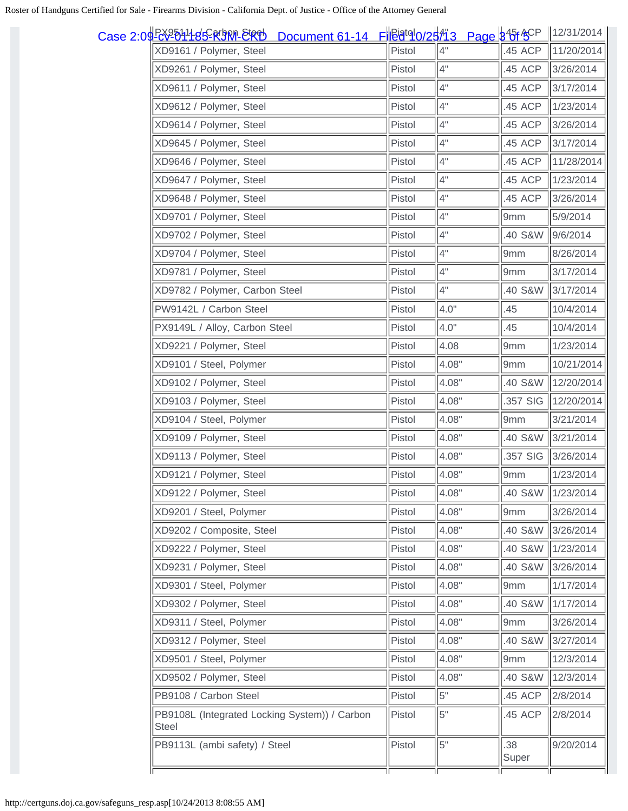| Document 61-14 FiEatglo/25/13 Page 3 6 ACP<br>Case 2:04 RX2011 tsS R 9M ERD |        |       |              | $\ $ 12/31/2014 |
|-----------------------------------------------------------------------------|--------|-------|--------------|-----------------|
| XD9161 / Polymer, Steel                                                     | Pistol | 4"    | .45 ACP      | 11/20/2014      |
| XD9261 / Polymer, Steel                                                     | Pistol | 4"    | .45 ACP      | 3/26/2014       |
| XD9611 / Polymer, Steel                                                     | Pistol | 4"    | .45 ACP      | 3/17/2014       |
| XD9612 / Polymer, Steel                                                     | Pistol | 4"    | .45 ACP      | 1/23/2014       |
| XD9614 / Polymer, Steel                                                     | Pistol | 4"    | .45 ACP      | 3/26/2014       |
| XD9645 / Polymer, Steel                                                     | Pistol | 4"    | .45 ACP      | 3/17/2014       |
| XD9646 / Polymer, Steel                                                     | Pistol | 4"    | .45 ACP      | 11/28/2014      |
| XD9647 / Polymer, Steel                                                     | Pistol | 4"    | .45 ACP      | 1/23/2014       |
| XD9648 / Polymer, Steel                                                     | Pistol | 4"    | .45 ACP      | 3/26/2014       |
| XD9701 / Polymer, Steel                                                     | Pistol | 4"    | 9mm          | 5/9/2014        |
| XD9702 / Polymer, Steel                                                     | Pistol | 4"    | .40 S&W      | 9/6/2014        |
| XD9704 / Polymer, Steel                                                     | Pistol | 4"    | 9mm          | 8/26/2014       |
| XD9781 / Polymer, Steel                                                     | Pistol | 4"    | 9mm          | 3/17/2014       |
| XD9782 / Polymer, Carbon Steel                                              | Pistol | 4"    | .40 S&W      | 3/17/2014       |
| PW9142L / Carbon Steel                                                      | Pistol | 4.0"  | .45          | 10/4/2014       |
| PX9149L / Alloy, Carbon Steel                                               | Pistol | 4.0"  | .45          | 10/4/2014       |
| XD9221 / Polymer, Steel                                                     | Pistol | 4.08  | 9mm          | 1/23/2014       |
| XD9101 / Steel, Polymer                                                     | Pistol | 4.08" | 9mm          | 10/21/2014      |
| XD9102 / Polymer, Steel                                                     | Pistol | 4.08" | .40 S&W      | 12/20/2014      |
| XD9103 / Polymer, Steel                                                     | Pistol | 4.08" | .357 SIG     | 12/20/2014      |
| XD9104 / Steel, Polymer                                                     | Pistol | 4.08" | 9mm          | 3/21/2014       |
| XD9109 / Polymer, Steel                                                     | Pistol | 4.08" | .40 S&W      | 3/21/2014       |
| XD9113 / Polymer, Steel                                                     | Pistol | 4.08" | .357 SIG     | 3/26/2014       |
| XD9121 / Polymer, Steel                                                     | Pistol | 4.08" | 9mm          | 1/23/2014       |
| XD9122 / Polymer, Steel                                                     | Pistol | 4.08" | .40 S&W      | 1/23/2014       |
| XD9201 / Steel, Polymer                                                     | Pistol | 4.08" | 9mm          | 3/26/2014       |
| XD9202 / Composite, Steel                                                   | Pistol | 4.08" | .40 S&W      | 3/26/2014       |
| XD9222 / Polymer, Steel                                                     | Pistol | 4.08" | .40 S&W      | 1/23/2014       |
| XD9231 / Polymer, Steel                                                     | Pistol | 4.08" | .40 S&W      | 3/26/2014       |
| XD9301 / Steel, Polymer                                                     | Pistol | 4.08" | 9mm          | 1/17/2014       |
| XD9302 / Polymer, Steel                                                     | Pistol | 4.08" | .40 S&W      | 1/17/2014       |
| XD9311 / Steel, Polymer                                                     | Pistol | 4.08" | 9mm          | 3/26/2014       |
| XD9312 / Polymer, Steel                                                     | Pistol | 4.08" | .40 S&W      | 3/27/2014       |
| XD9501 / Steel, Polymer                                                     | Pistol | 4.08" | 9mm          | 12/3/2014       |
| XD9502 / Polymer, Steel                                                     | Pistol | 4.08" | .40 S&W      | 12/3/2014       |
| PB9108 / Carbon Steel                                                       | Pistol | 5"    | .45 ACP      | 2/8/2014        |
| PB9108L (Integrated Locking System)) / Carbon<br><b>Steel</b>               | Pistol | 5"    | .45 ACP      | 2/8/2014        |
| PB9113L (ambi safety) / Steel                                               | Pistol | 5"    | .38<br>Super | 9/20/2014       |
|                                                                             |        |       |              |                 |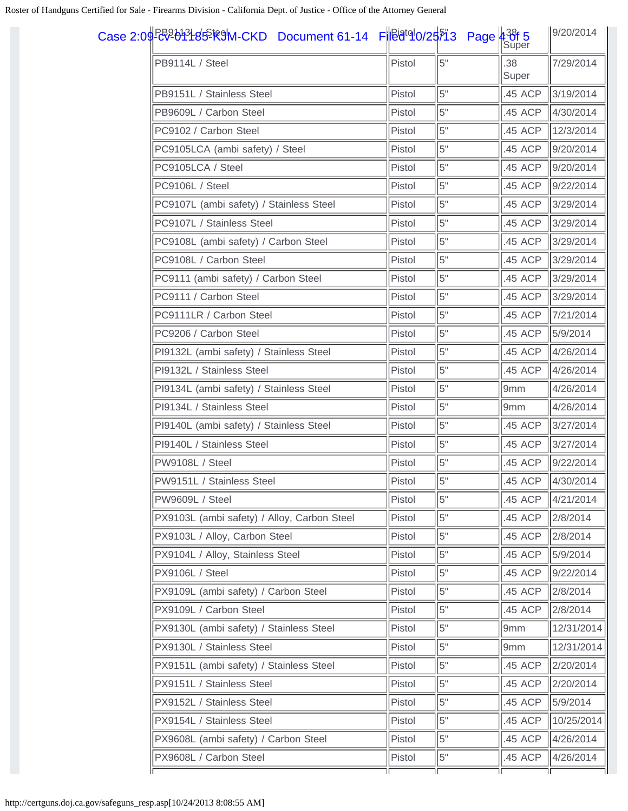| Case 2:09 <del>R2</del> 01 14 Sim Document 61-14 File d <sup>to</sup> 0/2 5 2:09 Page 4 3 6 5 |        |     |              | 9/20/2014  |
|-----------------------------------------------------------------------------------------------|--------|-----|--------------|------------|
| PB9114L / Steel                                                                               | Pistol | 5"  | .38<br>Super | 7/29/2014  |
| PB9151L / Stainless Steel                                                                     | Pistol | 5"  | .45 ACP      | 3/19/2014  |
| PB9609L / Carbon Steel                                                                        | Pistol | 5"  | .45 ACP      | 4/30/2014  |
| PC9102 / Carbon Steel                                                                         | Pistol | 5"  | .45 ACP      | 12/3/2014  |
| PC9105LCA (ambi safety) / Steel                                                               | Pistol | 5"  | .45 ACP      | 9/20/2014  |
| PC9105LCA / Steel                                                                             | Pistol | 5"  | .45 ACP      | 9/20/2014  |
| PC9106L / Steel                                                                               | Pistol | 5"  | .45 ACP      | 9/22/2014  |
| PC9107L (ambi safety) / Stainless Steel                                                       | Pistol | 5"  | .45 ACP      | 3/29/2014  |
| PC9107L / Stainless Steel                                                                     | Pistol | 5"  | .45 ACP      | 3/29/2014  |
| PC9108L (ambi safety) / Carbon Steel                                                          | Pistol | 5"  | .45 ACP      | 3/29/2014  |
| PC9108L / Carbon Steel                                                                        | Pistol | 5"  | .45 ACP      | 3/29/2014  |
| PC9111 (ambi safety) / Carbon Steel                                                           | Pistol | 5"  | .45 ACP      | 3/29/2014  |
| PC9111 / Carbon Steel                                                                         | Pistol | 5"  | .45 ACP      | 3/29/2014  |
| PC9111LR / Carbon Steel                                                                       | Pistol | 5"  | .45 ACP      | 7/21/2014  |
| PC9206 / Carbon Steel                                                                         | Pistol | 5"  | .45 ACP      | 5/9/2014   |
| PI9132L (ambi safety) / Stainless Steel                                                       | Pistol | 5"  | .45 ACP      | 4/26/2014  |
| PI9132L / Stainless Steel                                                                     | Pistol | 5"  | .45 ACP      | 4/26/2014  |
| PI9134L (ambi safety) / Stainless Steel                                                       | Pistol | 5"  | 9mm          | 4/26/2014  |
| PI9134L / Stainless Steel                                                                     | Pistol | 5"  | 9mm          | 4/26/2014  |
| PI9140L (ambi safety) / Stainless Steel                                                       | Pistol | 5"  | .45 ACP      | 3/27/2014  |
| PI9140L / Stainless Steel                                                                     | Pistol | 5"  | .45 ACP      | 3/27/2014  |
| <b>PW9108L / Steel</b>                                                                        | Pistol | 5"  | .45 ACP      | 9/22/2014  |
| PW9151L / Stainless Steel                                                                     | Pistol | l5" | .45 ACP      | 4/30/2014  |
| PW9609L / Steel                                                                               | Pistol | 5"  | .45 ACP      | 4/21/2014  |
| PX9103L (ambi safety) / Alloy, Carbon Steel                                                   | Pistol | 5"  | .45 ACP      | 2/8/2014   |
| PX9103L / Alloy, Carbon Steel                                                                 | Pistol | 5"  | .45 ACP      | 2/8/2014   |
| PX9104L / Alloy, Stainless Steel                                                              | Pistol | 5"  | .45 ACP      | 5/9/2014   |
| PX9106L / Steel                                                                               | Pistol | 5"  | .45 ACP      | 9/22/2014  |
| PX9109L (ambi safety) / Carbon Steel                                                          | Pistol | 5"  | .45 ACP      | 2/8/2014   |
| PX9109L / Carbon Steel                                                                        | Pistol | 5"  | .45 ACP      | 2/8/2014   |
| PX9130L (ambi safety) / Stainless Steel                                                       | Pistol | 5"  | 9mm          | 12/31/2014 |
| PX9130L / Stainless Steel                                                                     | Pistol | 5"  | 9mm          | 12/31/2014 |
| PX9151L (ambi safety) / Stainless Steel                                                       | Pistol | 5"  | .45 ACP      | 2/20/2014  |
| PX9151L / Stainless Steel                                                                     | Pistol | 5"  | .45 ACP      | 2/20/2014  |
| PX9152L / Stainless Steel                                                                     | Pistol | 5"  | .45 ACP      | 5/9/2014   |
| PX9154L / Stainless Steel                                                                     | Pistol | 5"  | .45 ACP      | 10/25/2014 |
| PX9608L (ambi safety) / Carbon Steel                                                          | Pistol | 5"  | .45 ACP      | 4/26/2014  |
| PX9608L / Carbon Steel                                                                        | Pistol | 5"  | .45 ACP      | 4/26/2014  |
|                                                                                               |        |     |              |            |